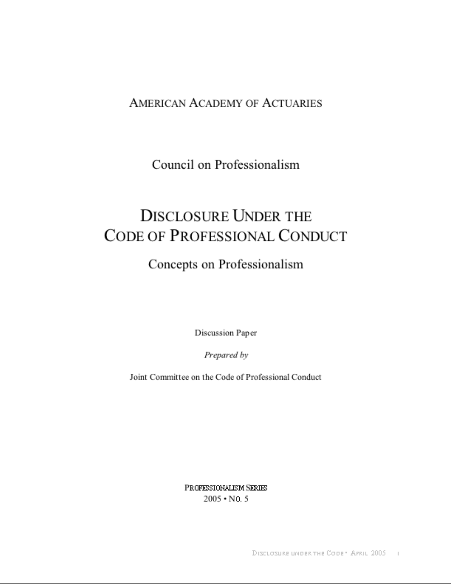#### **AMERICAN ACADEMY OF ACTUARIES**

Council on Professionalism

#### **DISCLOSURE UNDER THE** CODE OF PROFESSIONAL CONDUCT

#### Concepts on Professionalism

Discussion Paper

Prepared by

Joint Committee on the Code of Professional Conduct

PROFESSIONALISM SERIES  $2005 \cdot$  No. 5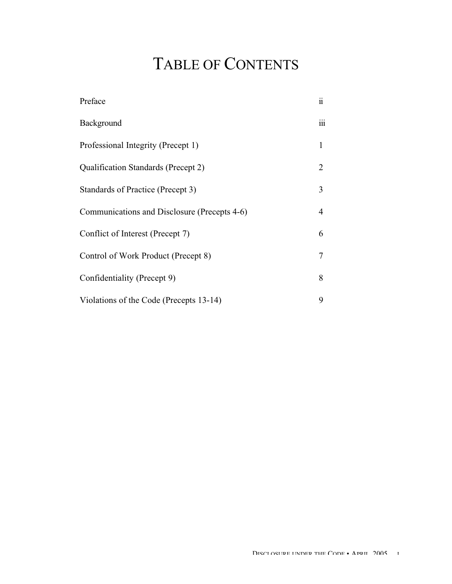## TABLE OF CONTENTS

| Preface                                      | $\ddot{\mathbf{i}}$ |
|----------------------------------------------|---------------------|
| Background                                   | iii                 |
| Professional Integrity (Precept 1)           | $\mathbf{1}$        |
| Qualification Standards (Precept 2)          | 2                   |
| Standards of Practice (Precept 3)            | 3                   |
| Communications and Disclosure (Precepts 4-6) | 4                   |
| Conflict of Interest (Precept 7)             | 6                   |
| Control of Work Product (Precept 8)          | 7                   |
| Confidentiality (Precept 9)                  | 8                   |
| Violations of the Code (Precepts 13-14)      | 9                   |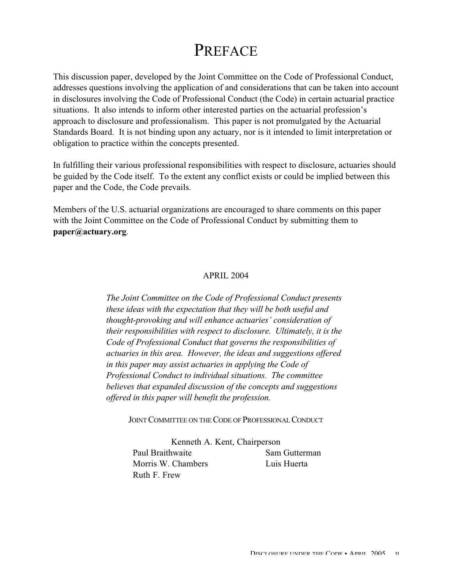#### PREFACE

This discussion paper, developed by the Joint Committee on the Code of Professional Conduct, addresses questions involving the application of and considerations that can be taken into account in disclosures involving the Code of Professional Conduct (the Code) in certain actuarial practice situations. It also intends to inform other interested parties on the actuarial profession's approach to disclosure and professionalism. This paper is not promulgated by the Actuarial Standards Board. It is not binding upon any actuary, nor is it intended to limit interpretation or obligation to practice within the concepts presented.

In fulfilling their various professional responsibilities with respect to disclosure, actuaries should be guided by the Code itself. To the extent any conflict exists or could be implied between this paper and the Code, the Code prevails.

Members of the U.S. actuarial organizations are encouraged to share comments on this paper with the Joint Committee on the Code of Professional Conduct by submitting them to **paper@actuary.org**.

#### APRIL 2004

*The Joint Committee on the Code of Professional Conduct presents these ideas with the expectation that they will be both useful and thought-provoking and will enhance actuaries' consideration of their responsibilities with respect to disclosure. Ultimately, it is the Code of Professional Conduct that governs the responsibilities of actuaries in this area. However, the ideas and suggestions offered in this paper may assist actuaries in applying the Code of Professional Conduct to individual situations. The committee believes that expanded discussion of the concepts and suggestions offered in this paper will benefit the profession.*

JOINT COMMITTEE ON THE CODE OF PROFESSIONAL CONDUCT

Kenneth A. Kent, Chairperson Paul Braithwaite Sam Gutterman Morris W. Chambers Luis Huerta Ruth F. Frew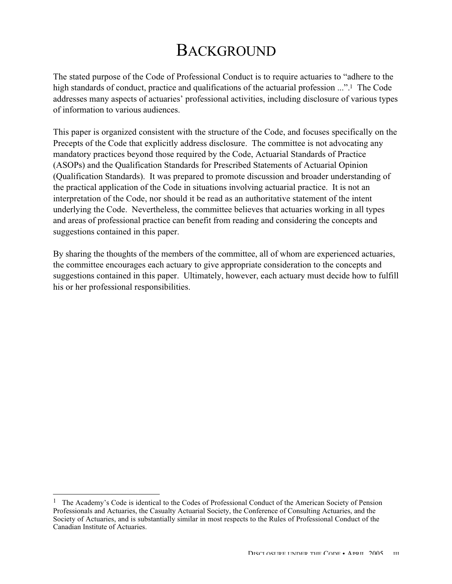#### **BACKGROUND**

The stated purpose of the Code of Professional Conduct is to require actuaries to "adhere to the high standards of conduct, practice and qualifications of the actuarial profession ...".<sup>1</sup> The Code addresses many aspects of actuaries' professional activities, including disclosure of various types of information to various audiences.

This paper is organized consistent with the structure of the Code, and focuses specifically on the Precepts of the Code that explicitly address disclosure. The committee is not advocating any mandatory practices beyond those required by the Code, Actuarial Standards of Practice (ASOPs) and the Qualification Standards for Prescribed Statements of Actuarial Opinion (Qualification Standards). It was prepared to promote discussion and broader understanding of the practical application of the Code in situations involving actuarial practice. It is not an interpretation of the Code, nor should it be read as an authoritative statement of the intent underlying the Code. Nevertheless, the committee believes that actuaries working in all types and areas of professional practice can benefit from reading and considering the concepts and suggestions contained in this paper.

By sharing the thoughts of the members of the committee, all of whom are experienced actuaries, the committee encourages each actuary to give appropriate consideration to the concepts and suggestions contained in this paper. Ultimately, however, each actuary must decide how to fulfill his or her professional responsibilities.

 $\overline{a}$ 

 $<sup>1</sup>$  The Academy's Code is identical to the Codes of Professional Conduct of the American Society of Pension</sup> Professionals and Actuaries, the Casualty Actuarial Society, the Conference of Consulting Actuaries, and the Society of Actuaries, and is substantially similar in most respects to the Rules of Professional Conduct of the Canadian Institute of Actuaries.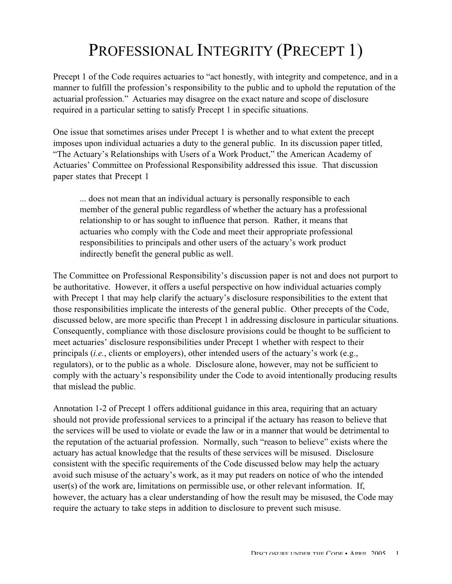## PROFESSIONAL INTEGRITY (PRECEPT 1)

Precept 1 of the Code requires actuaries to "act honestly, with integrity and competence, and in a manner to fulfill the profession's responsibility to the public and to uphold the reputation of the actuarial profession." Actuaries may disagree on the exact nature and scope of disclosure required in a particular setting to satisfy Precept 1 in specific situations.

One issue that sometimes arises under Precept 1 is whether and to what extent the precept imposes upon individual actuaries a duty to the general public. In its discussion paper titled, "The Actuary's Relationships with Users of a Work Product," the American Academy of Actuaries' Committee on Professional Responsibility addressed this issue. That discussion paper states that Precept 1

... does not mean that an individual actuary is personally responsible to each member of the general public regardless of whether the actuary has a professional relationship to or has sought to influence that person. Rather, it means that actuaries who comply with the Code and meet their appropriate professional responsibilities to principals and other users of the actuary's work product indirectly benefit the general public as well.

The Committee on Professional Responsibility's discussion paper is not and does not purport to be authoritative. However, it offers a useful perspective on how individual actuaries comply with Precept 1 that may help clarify the actuary's disclosure responsibilities to the extent that those responsibilities implicate the interests of the general public. Other precepts of the Code, discussed below, are more specific than Precept 1 in addressing disclosure in particular situations. Consequently, compliance with those disclosure provisions could be thought to be sufficient to meet actuaries' disclosure responsibilities under Precept 1 whether with respect to their principals (*i.e.*, clients or employers), other intended users of the actuary's work (e.g., regulators), or to the public as a whole. Disclosure alone, however, may not be sufficient to comply with the actuary's responsibility under the Code to avoid intentionally producing results that mislead the public.

Annotation 1-2 of Precept 1 offers additional guidance in this area, requiring that an actuary should not provide professional services to a principal if the actuary has reason to believe that the services will be used to violate or evade the law or in a manner that would be detrimental to the reputation of the actuarial profession. Normally, such "reason to believe" exists where the actuary has actual knowledge that the results of these services will be misused. Disclosure consistent with the specific requirements of the Code discussed below may help the actuary avoid such misuse of the actuary's work, as it may put readers on notice of who the intended user(s) of the work are, limitations on permissible use, or other relevant information. If, however, the actuary has a clear understanding of how the result may be misused, the Code may require the actuary to take steps in addition to disclosure to prevent such misuse.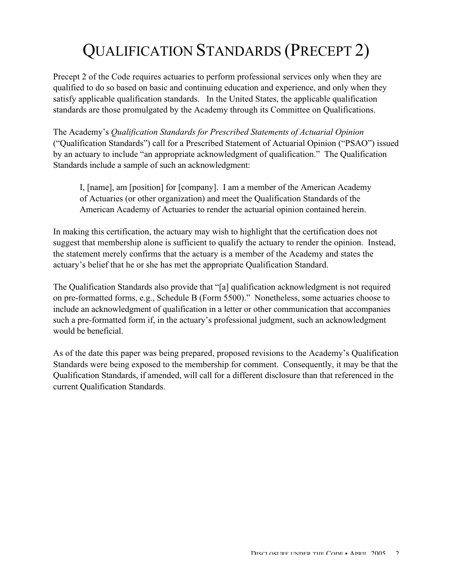# QUALIFICATION STANDARDS (PRECEPT 2)

Precept 2 of the Code requires actuaries to perform professional services only when they are qualified to do so based on basic and continuing education and experience, and only when they satisfy applicable qualification standards. In the United States, the applicable qualification standards are those promulgated by the Academy through its Committee on Qualifications.

The Academy's *Qualification Standards for Prescribed Statements of Actuarial Opinion* ("Qualification Standards") call for a Prescribed Statement of Actuarial Opinion ("PSAO") issued by an actuary to include "an appropriate acknowledgment of qualification." The Qualification Standards include a sample of such an acknowledgment:

I, [name], am [position] for [company]. I am a member of the American Academy of Actuaries (or other organization) and meet the Qualification Standards of the American Academy of Actuaries to render the actuarial opinion contained herein.

In making this certification, the actuary may wish to highlight that the certification does not suggest that membership alone is sufficient to qualify the actuary to render the opinion. Instead, the statement merely confirms that the actuary is a member of the Academy and states the actuary's belief that he or she has met the appropriate Qualification Standard.

The Qualification Standards also provide that "[a] qualification acknowledgment is not required on pre-formatted forms, e.g., Schedule B (Form 5500)." Nonetheless, some actuaries choose to include an acknowledgment of qualification in a letter or other communication that accompanies such a pre-formatted form if, in the actuary's professional judgment, such an acknowledgment would be beneficial.

As of the date this paper was being prepared, proposed revisions to the Academy's Qualification Standards were being exposed to the membership for comment. Consequently, it may be that the Qualification Standards, if amended, will call for a different disclosure than that referenced in the current Qualification Standards.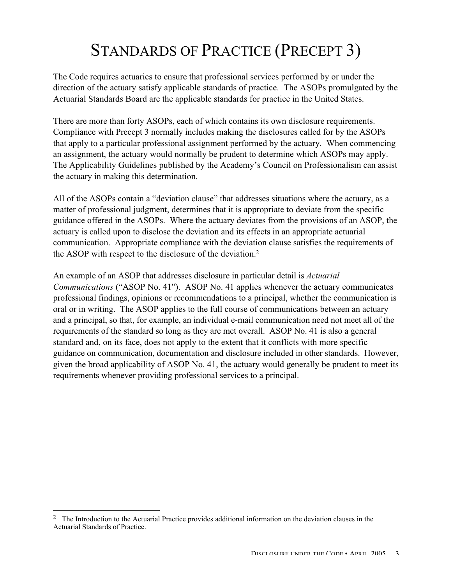## STANDARDS OF PRACTICE (PRECEPT 3)

The Code requires actuaries to ensure that professional services performed by or under the direction of the actuary satisfy applicable standards of practice. The ASOPs promulgated by the Actuarial Standards Board are the applicable standards for practice in the United States.

There are more than forty ASOPs, each of which contains its own disclosure requirements. Compliance with Precept 3 normally includes making the disclosures called for by the ASOPs that apply to a particular professional assignment performed by the actuary. When commencing an assignment, the actuary would normally be prudent to determine which ASOPs may apply. The Applicability Guidelines published by the Academy's Council on Professionalism can assist the actuary in making this determination.

All of the ASOPs contain a "deviation clause" that addresses situations where the actuary, as a matter of professional judgment, determines that it is appropriate to deviate from the specific guidance offered in the ASOPs. Where the actuary deviates from the provisions of an ASOP, the actuary is called upon to disclose the deviation and its effects in an appropriate actuarial communication. Appropriate compliance with the deviation clause satisfies the requirements of the ASOP with respect to the disclosure of the deviation.2

An example of an ASOP that addresses disclosure in particular detail is *Actuarial Communications* ("ASOP No. 41"). ASOP No. 41 applies whenever the actuary communicates professional findings, opinions or recommendations to a principal, whether the communication is oral or in writing. The ASOP applies to the full course of communications between an actuary and a principal, so that, for example, an individual e-mail communication need not meet all of the requirements of the standard so long as they are met overall. ASOP No. 41 is also a general standard and, on its face, does not apply to the extent that it conflicts with more specific guidance on communication, documentation and disclosure included in other standards. However, given the broad applicability of ASOP No. 41, the actuary would generally be prudent to meet its requirements whenever providing professional services to a principal.

 $\overline{a}$ 

<sup>&</sup>lt;sup>2</sup> The Introduction to the Actuarial Practice provides additional information on the deviation clauses in the Actuarial Standards of Practice.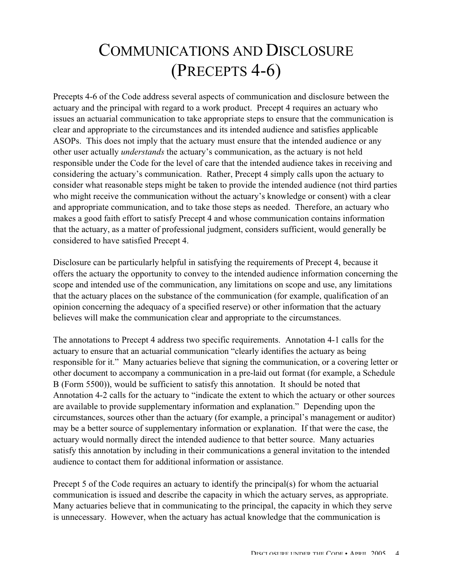#### COMMUNICATIONS AND DISCLOSURE (PRECEPTS 4-6)

Precepts 4-6 of the Code address several aspects of communication and disclosure between the actuary and the principal with regard to a work product. Precept 4 requires an actuary who issues an actuarial communication to take appropriate steps to ensure that the communication is clear and appropriate to the circumstances and its intended audience and satisfies applicable ASOPs. This does not imply that the actuary must ensure that the intended audience or any other user actually *understands* the actuary's communication, as the actuary is not held responsible under the Code for the level of care that the intended audience takes in receiving and considering the actuary's communication. Rather, Precept 4 simply calls upon the actuary to consider what reasonable steps might be taken to provide the intended audience (not third parties who might receive the communication without the actuary's knowledge or consent) with a clear and appropriate communication, and to take those steps as needed. Therefore, an actuary who makes a good faith effort to satisfy Precept 4 and whose communication contains information that the actuary, as a matter of professional judgment, considers sufficient, would generally be considered to have satisfied Precept 4.

Disclosure can be particularly helpful in satisfying the requirements of Precept 4, because it offers the actuary the opportunity to convey to the intended audience information concerning the scope and intended use of the communication, any limitations on scope and use, any limitations that the actuary places on the substance of the communication (for example, qualification of an opinion concerning the adequacy of a specified reserve) or other information that the actuary believes will make the communication clear and appropriate to the circumstances.

The annotations to Precept 4 address two specific requirements. Annotation 4-1 calls for the actuary to ensure that an actuarial communication "clearly identifies the actuary as being responsible for it." Many actuaries believe that signing the communication, or a covering letter or other document to accompany a communication in a pre-laid out format (for example, a Schedule B (Form 5500)), would be sufficient to satisfy this annotation. It should be noted that Annotation 4-2 calls for the actuary to "indicate the extent to which the actuary or other sources are available to provide supplementary information and explanation." Depending upon the circumstances, sources other than the actuary (for example, a principal's management or auditor) may be a better source of supplementary information or explanation. If that were the case, the actuary would normally direct the intended audience to that better source. Many actuaries satisfy this annotation by including in their communications a general invitation to the intended audience to contact them for additional information or assistance.

Precept 5 of the Code requires an actuary to identify the principal(s) for whom the actuarial communication is issued and describe the capacity in which the actuary serves, as appropriate. Many actuaries believe that in communicating to the principal, the capacity in which they serve is unnecessary. However, when the actuary has actual knowledge that the communication is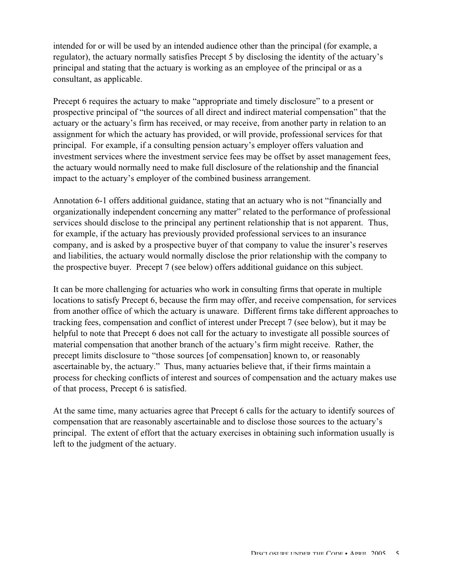intended for or will be used by an intended audience other than the principal (for example, a regulator), the actuary normally satisfies Precept 5 by disclosing the identity of the actuary's principal and stating that the actuary is working as an employee of the principal or as a consultant, as applicable.

Precept 6 requires the actuary to make "appropriate and timely disclosure" to a present or prospective principal of "the sources of all direct and indirect material compensation" that the actuary or the actuary's firm has received, or may receive, from another party in relation to an assignment for which the actuary has provided, or will provide, professional services for that principal. For example, if a consulting pension actuary's employer offers valuation and investment services where the investment service fees may be offset by asset management fees, the actuary would normally need to make full disclosure of the relationship and the financial impact to the actuary's employer of the combined business arrangement.

Annotation 6-1 offers additional guidance, stating that an actuary who is not "financially and organizationally independent concerning any matter" related to the performance of professional services should disclose to the principal any pertinent relationship that is not apparent. Thus, for example, if the actuary has previously provided professional services to an insurance company, and is asked by a prospective buyer of that company to value the insurer's reserves and liabilities, the actuary would normally disclose the prior relationship with the company to the prospective buyer. Precept 7 (see below) offers additional guidance on this subject.

It can be more challenging for actuaries who work in consulting firms that operate in multiple locations to satisfy Precept 6, because the firm may offer, and receive compensation, for services from another office of which the actuary is unaware. Different firms take different approaches to tracking fees, compensation and conflict of interest under Precept 7 (see below), but it may be helpful to note that Precept 6 does not call for the actuary to investigate all possible sources of material compensation that another branch of the actuary's firm might receive. Rather, the precept limits disclosure to "those sources [of compensation] known to, or reasonably ascertainable by, the actuary." Thus, many actuaries believe that, if their firms maintain a process for checking conflicts of interest and sources of compensation and the actuary makes use of that process, Precept 6 is satisfied.

At the same time, many actuaries agree that Precept 6 calls for the actuary to identify sources of compensation that are reasonably ascertainable and to disclose those sources to the actuary's principal. The extent of effort that the actuary exercises in obtaining such information usually is left to the judgment of the actuary.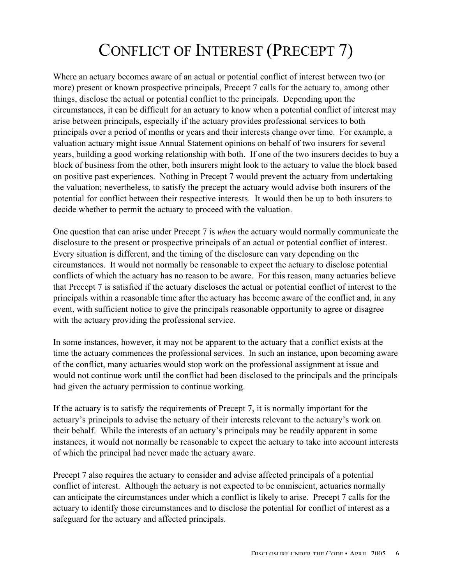## CONFLICT OF INTEREST (PRECEPT 7)

Where an actuary becomes aware of an actual or potential conflict of interest between two (or more) present or known prospective principals, Precept 7 calls for the actuary to, among other things, disclose the actual or potential conflict to the principals. Depending upon the circumstances, it can be difficult for an actuary to know when a potential conflict of interest may arise between principals, especially if the actuary provides professional services to both principals over a period of months or years and their interests change over time. For example, a valuation actuary might issue Annual Statement opinions on behalf of two insurers for several years, building a good working relationship with both. If one of the two insurers decides to buy a block of business from the other, both insurers might look to the actuary to value the block based on positive past experiences. Nothing in Precept 7 would prevent the actuary from undertaking the valuation; nevertheless, to satisfy the precept the actuary would advise both insurers of the potential for conflict between their respective interests. It would then be up to both insurers to decide whether to permit the actuary to proceed with the valuation.

One question that can arise under Precept 7 is *when* the actuary would normally communicate the disclosure to the present or prospective principals of an actual or potential conflict of interest. Every situation is different, and the timing of the disclosure can vary depending on the circumstances. It would not normally be reasonable to expect the actuary to disclose potential conflicts of which the actuary has no reason to be aware. For this reason, many actuaries believe that Precept 7 is satisfied if the actuary discloses the actual or potential conflict of interest to the principals within a reasonable time after the actuary has become aware of the conflict and, in any event, with sufficient notice to give the principals reasonable opportunity to agree or disagree with the actuary providing the professional service.

In some instances, however, it may not be apparent to the actuary that a conflict exists at the time the actuary commences the professional services. In such an instance, upon becoming aware of the conflict, many actuaries would stop work on the professional assignment at issue and would not continue work until the conflict had been disclosed to the principals and the principals had given the actuary permission to continue working.

If the actuary is to satisfy the requirements of Precept 7, it is normally important for the actuary's principals to advise the actuary of their interests relevant to the actuary's work on their behalf. While the interests of an actuary's principals may be readily apparent in some instances, it would not normally be reasonable to expect the actuary to take into account interests of which the principal had never made the actuary aware.

Precept 7 also requires the actuary to consider and advise affected principals of a potential conflict of interest. Although the actuary is not expected to be omniscient, actuaries normally can anticipate the circumstances under which a conflict is likely to arise. Precept 7 calls for the actuary to identify those circumstances and to disclose the potential for conflict of interest as a safeguard for the actuary and affected principals.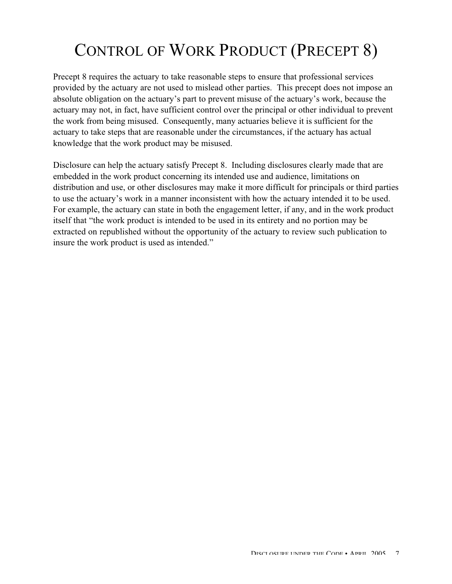## CONTROL OF WORK PRODUCT (PRECEPT 8)

Precept 8 requires the actuary to take reasonable steps to ensure that professional services provided by the actuary are not used to mislead other parties. This precept does not impose an absolute obligation on the actuary's part to prevent misuse of the actuary's work, because the actuary may not, in fact, have sufficient control over the principal or other individual to prevent the work from being misused. Consequently, many actuaries believe it is sufficient for the actuary to take steps that are reasonable under the circumstances, if the actuary has actual knowledge that the work product may be misused.

Disclosure can help the actuary satisfy Precept 8. Including disclosures clearly made that are embedded in the work product concerning its intended use and audience, limitations on distribution and use, or other disclosures may make it more difficult for principals or third parties to use the actuary's work in a manner inconsistent with how the actuary intended it to be used. For example, the actuary can state in both the engagement letter, if any, and in the work product itself that "the work product is intended to be used in its entirety and no portion may be extracted on republished without the opportunity of the actuary to review such publication to insure the work product is used as intended."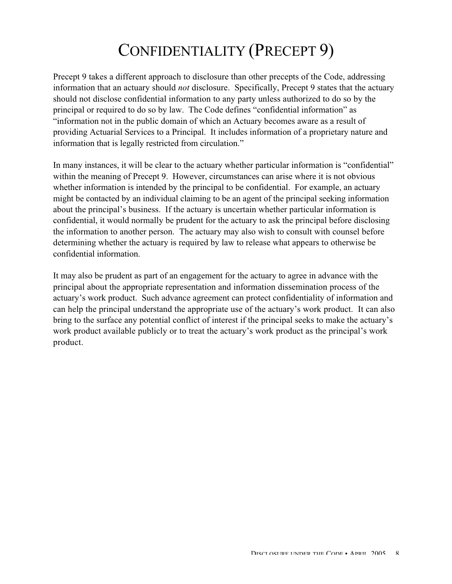### CONFIDENTIALITY (PRECEPT 9)

Precept 9 takes a different approach to disclosure than other precepts of the Code, addressing information that an actuary should *not* disclosure. Specifically, Precept 9 states that the actuary should not disclose confidential information to any party unless authorized to do so by the principal or required to do so by law. The Code defines "confidential information" as "information not in the public domain of which an Actuary becomes aware as a result of providing Actuarial Services to a Principal. It includes information of a proprietary nature and information that is legally restricted from circulation."

In many instances, it will be clear to the actuary whether particular information is "confidential" within the meaning of Precept 9. However, circumstances can arise where it is not obvious whether information is intended by the principal to be confidential. For example, an actuary might be contacted by an individual claiming to be an agent of the principal seeking information about the principal's business. If the actuary is uncertain whether particular information is confidential, it would normally be prudent for the actuary to ask the principal before disclosing the information to another person. The actuary may also wish to consult with counsel before determining whether the actuary is required by law to release what appears to otherwise be confidential information.

It may also be prudent as part of an engagement for the actuary to agree in advance with the principal about the appropriate representation and information dissemination process of the actuary's work product. Such advance agreement can protect confidentiality of information and can help the principal understand the appropriate use of the actuary's work product. It can also bring to the surface any potential conflict of interest if the principal seeks to make the actuary's work product available publicly or to treat the actuary's work product as the principal's work product.